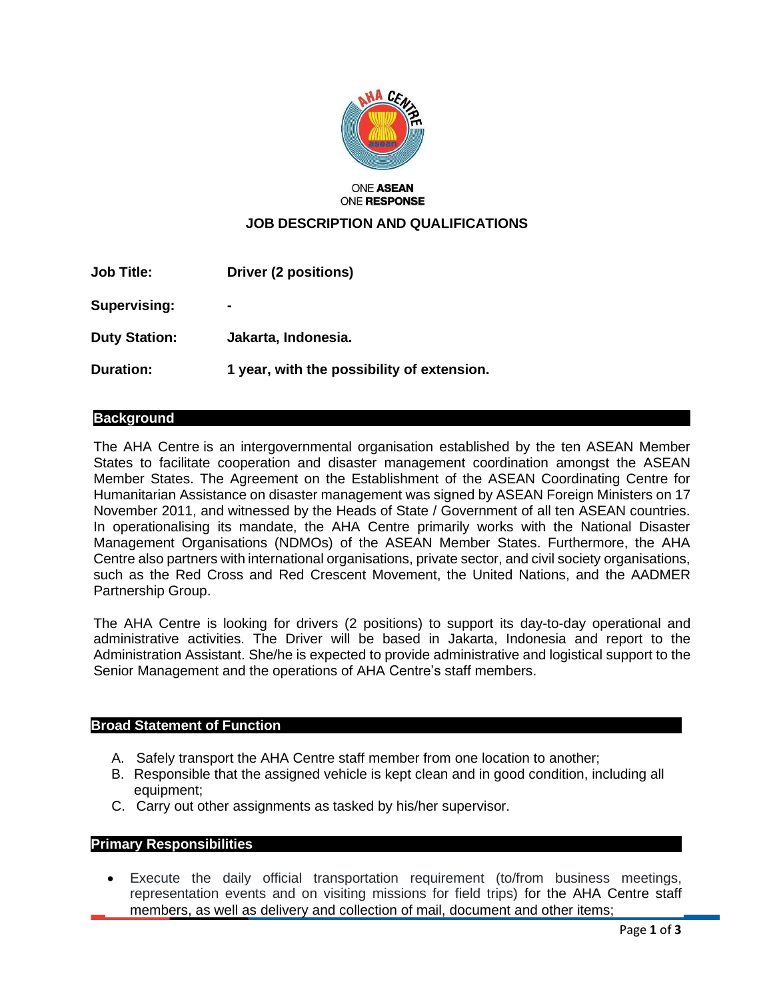

#### **ONE ASEAN ONE RESPONSE**

# **JOB DESCRIPTION AND QUALIFICATIONS**

| <b>Job Title:</b>    | Driver (2 positions)                       |
|----------------------|--------------------------------------------|
| <b>Supervising:</b>  | $\blacksquare$                             |
| <b>Duty Station:</b> | Jakarta, Indonesia.                        |
| Duration:            | 1 year, with the possibility of extension. |

### **Background**

The AHA Centre is an intergovernmental organisation established by the ten ASEAN Member States to facilitate cooperation and disaster management coordination amongst the ASEAN Member States. The Agreement on the Establishment of the ASEAN Coordinating Centre for Humanitarian Assistance on disaster management was signed by ASEAN Foreign Ministers on 17 November 2011, and witnessed by the Heads of State / Government of all ten ASEAN countries. In operationalising its mandate, the AHA Centre primarily works with the National Disaster Management Organisations (NDMOs) of the ASEAN Member States. Furthermore, the AHA Centre also partners with international organisations, private sector, and civil society organisations, such as the Red Cross and Red Crescent Movement, the United Nations, and the AADMER Partnership Group.

The AHA Centre is looking for drivers (2 positions) to support its day-to-day operational and administrative activities. The Driver will be based in Jakarta, Indonesia and report to the Administration Assistant. She/he is expected to provide administrative and logistical support to the Senior Management and the operations of AHA Centre's staff members.

#### **Broad Statement of Function**

- A. Safely transport the AHA Centre staff member from one location to another;
- B. Responsible that the assigned vehicle is kept clean and in good condition, including all equipment;
- C. Carry out other assignments as tasked by his/her supervisor.

### **Primary Responsibilities**

Execute the daily official transportation requirement (to/from business meetings, representation events and on visiting missions for field trips) for the AHA Centre staff members, as well as delivery and collection of mail, document and other items;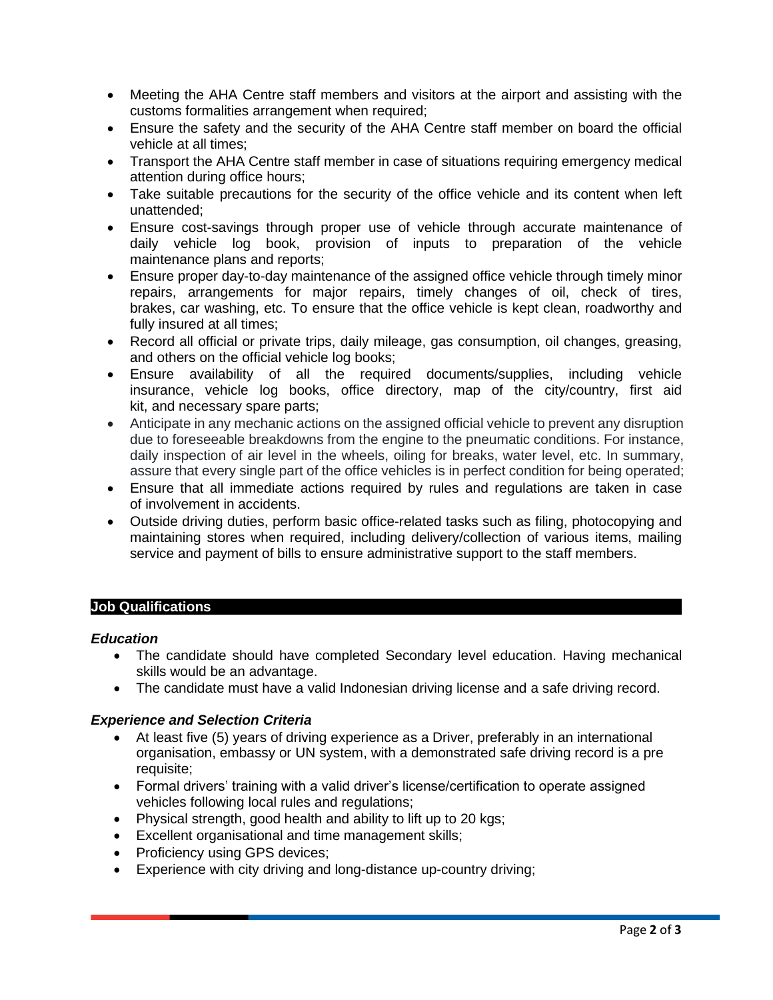- Meeting the AHA Centre staff members and visitors at the airport and assisting with the customs formalities arrangement when required;
- Ensure the safety and the security of the AHA Centre staff member on board the official vehicle at all times;
- Transport the AHA Centre staff member in case of situations requiring emergency medical attention during office hours;
- Take suitable precautions for the security of the office vehicle and its content when left unattended;
- Ensure cost-savings through proper use of vehicle through accurate maintenance of daily vehicle log book, provision of inputs to preparation of the vehicle maintenance plans and reports;
- Ensure proper day-to-day maintenance of the assigned office vehicle through timely minor repairs, arrangements for major repairs, timely changes of oil, check of tires, brakes, car washing, etc. To ensure that the office vehicle is kept clean, roadworthy and fully insured at all times;
- Record all official or private trips, daily mileage, gas consumption, oil changes, greasing, and others on the official vehicle log books;
- Ensure availability of all the required documents/supplies, including vehicle insurance, vehicle log books, office directory, map of the city/country, first aid kit, and necessary spare parts;
- Anticipate in any mechanic actions on the assigned official vehicle to prevent any disruption due to foreseeable breakdowns from the engine to the pneumatic conditions. For instance, daily inspection of air level in the wheels, oiling for breaks, water level, etc. In summary, assure that every single part of the office vehicles is in perfect condition for being operated;
- Ensure that all immediate actions required by rules and regulations are taken in case of involvement in accidents.
- Outside driving duties, perform basic office-related tasks such as filing, photocopying and maintaining stores when required, including delivery/collection of various items, mailing service and payment of bills to ensure administrative support to the staff members.

## **Job Qualifications**

### *Education*

- The candidate should have completed Secondary level education. Having mechanical skills would be an advantage.
- The candidate must have a valid Indonesian driving license and a safe driving record.

## *Experience and Selection Criteria*

- At least five (5) years of driving experience as a Driver, preferably in an international organisation, embassy or UN system, with a demonstrated safe driving record is a pre requisite;
- Formal drivers' training with a valid driver's license/certification to operate assigned vehicles following local rules and regulations;
- Physical strength, good health and ability to lift up to 20 kgs;
- Excellent organisational and time management skills;
- Proficiency using GPS devices;
- Experience with city driving and long-distance up-country driving;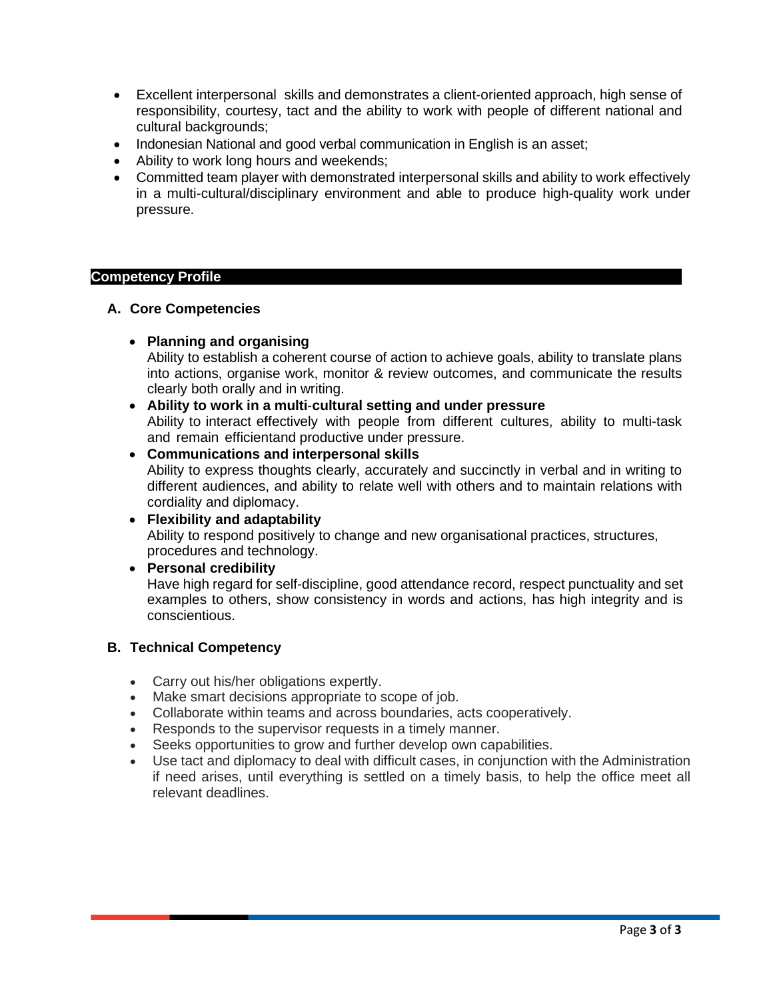- Excellent interpersonal skills and demonstrates a client-oriented approach, high sense of responsibility, courtesy, tact and the ability to work with people of different national and cultural backgrounds:
- Indonesian National and good verbal communication in English is an asset;
- Ability to work long hours and weekends;
- Committed team player with demonstrated interpersonal skills and ability to work effectively in a multi-cultural/disciplinary environment and able to produce high-quality work under pressure.

### **Competency Profile**

### **A. Core Competencies**

• **Planning and organising**

Ability to establish a coherent course of action to achieve goals, ability to translate plans into actions, organise work, monitor & review outcomes, and communicate the results clearly both orally and in writing.

- **Ability to work in a multi**‐**cultural setting and under pressure** Ability to interact effectively with people from different cultures, ability to multi-task and remain efficientand productive under pressure.
- **Communications and interpersonal skills** Ability to express thoughts clearly, accurately and succinctly in verbal and in writing to different audiences, and ability to relate well with others and to maintain relations with cordiality and diplomacy.
- **Flexibility and adaptability** Ability to respond positively to change and new organisational practices, structures, procedures and technology.
- **Personal credibility**

Have high regard for self-discipline, good attendance record, respect punctuality and set examples to others, show consistency in words and actions, has high integrity and is conscientious.

### **B. Technical Competency**

- Carry out his/her obligations expertly.
- Make smart decisions appropriate to scope of job.
- Collaborate within teams and across boundaries, acts cooperatively.
- Responds to the supervisor requests in a timely manner.
- Seeks opportunities to grow and further develop own capabilities.
- Use tact and diplomacy to deal with difficult cases, in conjunction with the Administration if need arises, until everything is settled on a timely basis, to help the office meet all relevant deadlines.